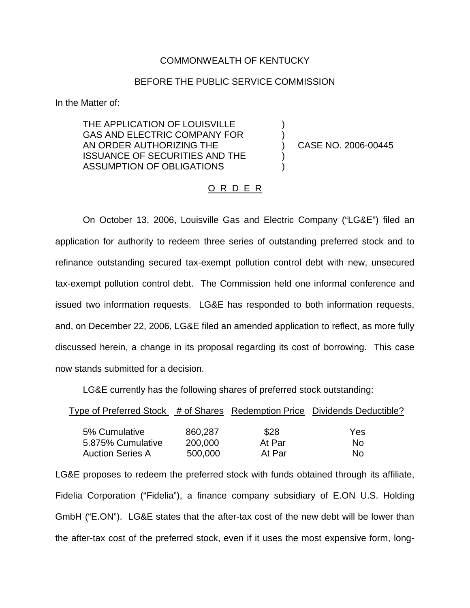## COMMONWEALTH OF KENTUCKY

## BEFORE THE PUBLIC SERVICE COMMISSION

) )

) )

In the Matter of:

THE APPLICATION OF LOUISVILLE GAS AND ELECTRIC COMPANY FOR AN ORDER AUTHORIZING THE ISSUANCE OF SECURITIES AND THE ASSUMPTION OF OBLIGATIONS

) CASE NO. 2006-00445

## <u>O R D E R</u>

On October 13, 2006, Louisville Gas and Electric Company ("LG&E") filed an application for authority to redeem three series of outstanding preferred stock and to refinance outstanding secured tax-exempt pollution control debt with new, unsecured tax-exempt pollution control debt. The Commission held one informal conference and issued two information requests. LG&E has responded to both information requests, and, on December 22, 2006, LG&E filed an amended application to reflect, as more fully discussed herein, a change in its proposal regarding its cost of borrowing. This case now stands submitted for a decision.

LG&E currently has the following shares of preferred stock outstanding:

| Type of Preferred Stock # of Shares Redemption Price Dividends Deductible? |         |        |     |
|----------------------------------------------------------------------------|---------|--------|-----|
|                                                                            |         |        |     |
| 5% Cumulative                                                              | 860,287 | \$28   | Yes |
| 5.875% Cumulative                                                          | 200,000 | At Par | Nο  |
| <b>Auction Series A</b>                                                    | 500,000 | At Par | No  |

LG&E proposes to redeem the preferred stock with funds obtained through its affiliate, Fidelia Corporation ("Fidelia"), a finance company subsidiary of E.ON U.S. Holding GmbH ("E.ON"). LG&E states that the after-tax cost of the new debt will be lower than the after-tax cost of the preferred stock, even if it uses the most expensive form, long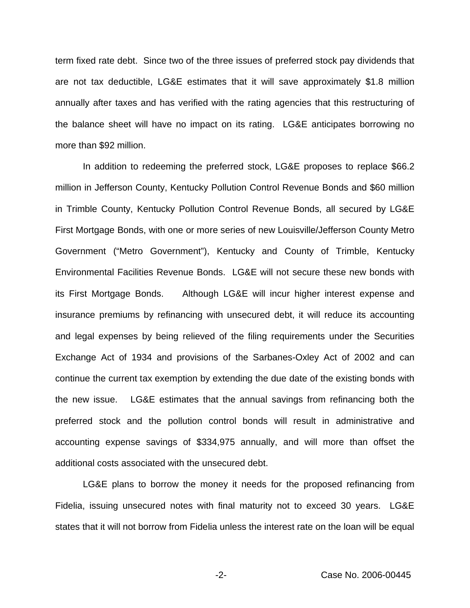term fixed rate debt. Since two of the three issues of preferred stock pay dividends that are not tax deductible, LG&E estimates that it will save approximately \$1.8 million annually after taxes and has verified with the rating agencies that this restructuring of the balance sheet will have no impact on its rating. LG&E anticipates borrowing no more than \$92 million.

In addition to redeeming the preferred stock, LG&E proposes to replace \$66.2 million in Jefferson County, Kentucky Pollution Control Revenue Bonds and \$60 million in Trimble County, Kentucky Pollution Control Revenue Bonds, all secured by LG&E First Mortgage Bonds, with one or more series of new Louisville/Jefferson County Metro Government ("Metro Government"), Kentucky and County of Trimble, Kentucky Environmental Facilities Revenue Bonds. LG&E will not secure these new bonds with its First Mortgage Bonds. Although LG&E will incur higher interest expense and insurance premiums by refinancing with unsecured debt, it will reduce its accounting and legal expenses by being relieved of the filing requirements under the Securities Exchange Act of 1934 and provisions of the Sarbanes-Oxley Act of 2002 and can continue the current tax exemption by extending the due date of the existing bonds with the new issue. LG&E estimates that the annual savings from refinancing both the preferred stock and the pollution control bonds will result in administrative and accounting expense savings of \$334,975 annually, and will more than offset the additional costs associated with the unsecured debt.

LG&E plans to borrow the money it needs for the proposed refinancing from Fidelia, issuing unsecured notes with final maturity not to exceed 30 years. LG&E states that it will not borrow from Fidelia unless the interest rate on the loan will be equal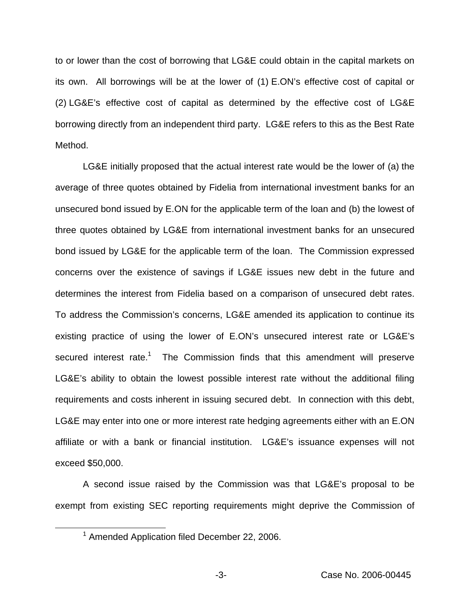to or lower than the cost of borrowing that LG&E could obtain in the capital markets on its own. All borrowings will be at the lower of (1) E.ON's effective cost of capital or (2) LG&E's effective cost of capital as determined by the effective cost of LG&E borrowing directly from an independent third party. LG&E refers to this as the Best Rate Method.

LG&E initially proposed that the actual interest rate would be the lower of (a) the average of three quotes obtained by Fidelia from international investment banks for an unsecured bond issued by E.ON for the applicable term of the loan and (b) the lowest of three quotes obtained by LG&E from international investment banks for an unsecured bond issued by LG&E for the applicable term of the loan. The Commission expressed concerns over the existence of savings if LG&E issues new debt in the future and determines the interest from Fidelia based on a comparison of unsecured debt rates. To address the Commission's concerns, LG&E amended its application to continue its existing practice of using the lower of E.ON's unsecured interest rate or LG&E's secured interest rate.<sup>1</sup> The Commission finds that this amendment will preserve LG&E's ability to obtain the lowest possible interest rate without the additional filing requirements and costs inherent in issuing secured debt. In connection with this debt, LG&E may enter into one or more interest rate hedging agreements either with an E.ON affiliate or with a bank or financial institution. LG&E's issuance expenses will not exceed \$50,000.

A second issue raised by the Commission was that LG&E's proposal to be exempt from existing SEC reporting requirements might deprive the Commission of

<sup>&</sup>lt;sup>1</sup> Amended Application filed December 22, 2006.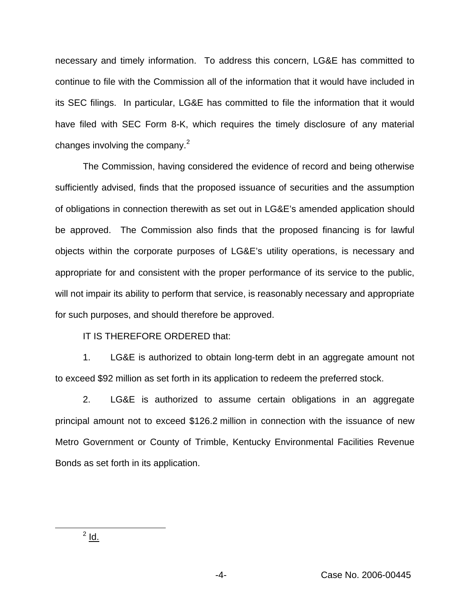necessary and timely information. To address this concern, LG&E has committed to continue to file with the Commission all of the information that it would have included in its SEC filings. In particular, LG&E has committed to file the information that it would have filed with SEC Form 8-K, which requires the timely disclosure of any material changes involving the company. $2$ 

The Commission, having considered the evidence of record and being otherwise sufficiently advised, finds that the proposed issuance of securities and the assumption of obligations in connection therewith as set out in LG&E's amended application should be approved. The Commission also finds that the proposed financing is for lawful objects within the corporate purposes of LG&E's utility operations, is necessary and appropriate for and consistent with the proper performance of its service to the public, will not impair its ability to perform that service, is reasonably necessary and appropriate for such purposes, and should therefore be approved.

IT IS THEREFORE ORDERED that:

1. LG&E is authorized to obtain long-term debt in an aggregate amount not to exceed \$92 million as set forth in its application to redeem the preferred stock.

2. LG&E is authorized to assume certain obligations in an aggregate principal amount not to exceed \$126.2 million in connection with the issuance of new Metro Government or County of Trimble, Kentucky Environmental Facilities Revenue Bonds as set forth in its application.

 $<sup>2</sup>$  Id.</sup>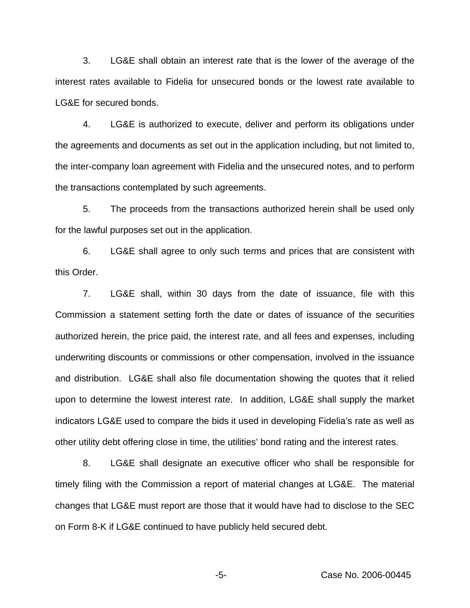3. LG&E shall obtain an interest rate that is the lower of the average of the interest rates available to Fidelia for unsecured bonds or the lowest rate available to LG&E for secured bonds.

4. LG&E is authorized to execute, deliver and perform its obligations under the agreements and documents as set out in the application including, but not limited to, the inter-company loan agreement with Fidelia and the unsecured notes, and to perform the transactions contemplated by such agreements.

5. The proceeds from the transactions authorized herein shall be used only for the lawful purposes set out in the application.

6. LG&E shall agree to only such terms and prices that are consistent with this Order.

7. LG&E shall, within 30 days from the date of issuance, file with this Commission a statement setting forth the date or dates of issuance of the securities authorized herein, the price paid, the interest rate, and all fees and expenses, including underwriting discounts or commissions or other compensation, involved in the issuance and distribution. LG&E shall also file documentation showing the quotes that it relied upon to determine the lowest interest rate. In addition, LG&E shall supply the market indicators LG&E used to compare the bids it used in developing Fidelia's rate as well as other utility debt offering close in time, the utilities' bond rating and the interest rates.

8. LG&E shall designate an executive officer who shall be responsible for timely filing with the Commission a report of material changes at LG&E. The material changes that LG&E must report are those that it would have had to disclose to the SEC on Form 8-K if LG&E continued to have publicly held secured debt.